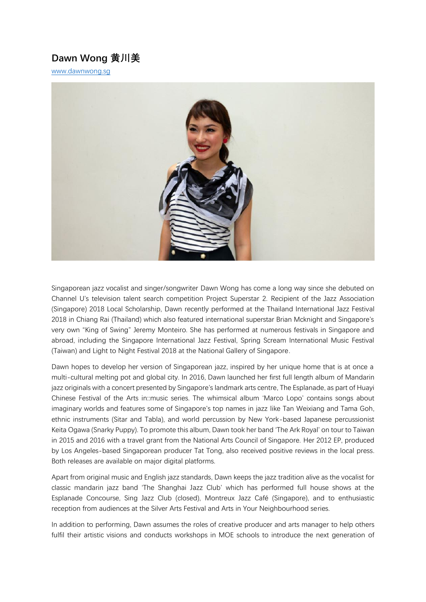# **Dawn Wong 黄川美**

[www.dawnwong.sg](http://www.dawnwong.sg/)



Singaporean jazz vocalist and singer/songwriter Dawn Wong has come a long way since she debuted on Channel U's television talent search competition Project Superstar 2. Recipient of the Jazz Association (Singapore) 2018 Local Scholarship, Dawn recently performed at the Thailand International Jazz Festival 2018 in Chiang Rai (Thailand) which also featured international superstar Brian Mcknight and Singapore's very own "King of Swing" Jeremy Monteiro. She has performed at numerous festivals in Singapore and abroad, including the Singapore International Jazz Festival, Spring Scream International Music Festival (Taiwan) and Light to Night Festival 2018 at the National Gallery of Singapore.

Dawn hopes to develop her version of Singaporean jazz, inspired by her unique home that is at once a multi-cultural melting pot and global city. In 2016, Dawn launched her first full length album of Mandarin jazz originals with a concert presented by Singapore's landmark arts centre, The Esplanade, as part of Huayi Chinese Festival of the Arts in::music series. The whimsical album 'Marco Lopo' contains songs about imaginary worlds and features some of Singapore's top names in jazz like Tan Weixiang and Tama Goh, ethnic instruments (Sitar and Tabla), and world percussion by New York-based Japanese percussionist Keita Ogawa (Snarky Puppy). To promote this album, Dawn took her band 'The Ark Royal' on tour to Taiwan in 2015 and 2016 with a travel grant from the National Arts Council of Singapore. Her 2012 EP, produced by Los Angeles-based Singaporean producer Tat Tong, also received positive reviews in the local press. Both releases are available on major digital platforms.

Apart from original music and English jazz standards, Dawn keeps the jazz tradition alive as the vocalist for classic mandarin jazz band 'The Shanghai Jazz Club' which has performed full house shows at the Esplanade Concourse, Sing Jazz Club (closed), Montreux Jazz Café (Singapore), and to enthusiastic reception from audiences at the Silver Arts Festival and Arts in Your Neighbourhood series.

In addition to performing, Dawn assumes the roles of creative producer and arts manager to help others fulfil their artistic visions and conducts workshops in MOE schools to introduce the next generation of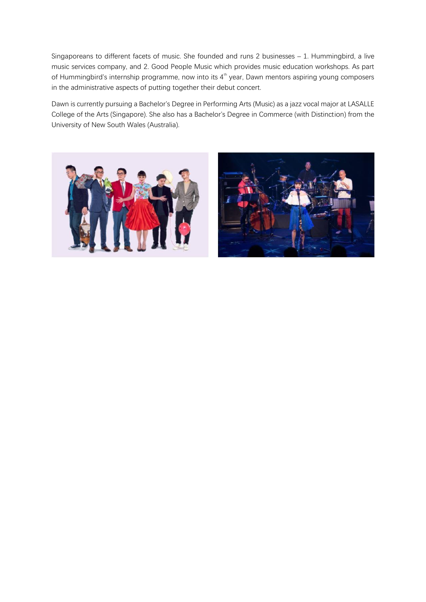Singaporeans to different facets of music. She founded and runs 2 businesses – 1. Hummingbird, a live music services company, and 2. Good People Music which provides music education workshops. As part of Hummingbird's internship programme, now into its  $4<sup>th</sup>$  year, Dawn mentors aspiring young composers in the administrative aspects of putting together their debut concert.

Dawn is currently pursuing a Bachelor's Degree in Performing Arts (Music) as a jazz vocal major at LASALLE College of the Arts (Singapore). She also has a Bachelor's Degree in Commerce (with Distinction) from the University of New South Wales (Australia).



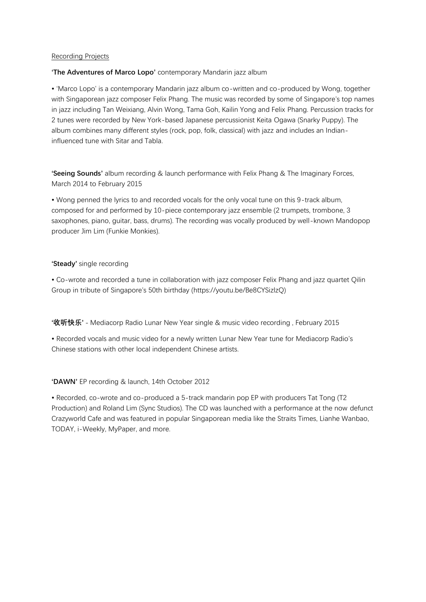# Recording Projects

# **'The Adventures of Marco Lopo'** contemporary Mandarin jazz album

• 'Marco Lopo' is a contemporary Mandarin jazz album co-written and co-produced by Wong, together with Singaporean jazz composer Felix Phang. The music was recorded by some of Singapore's top names in jazz including Tan Weixiang, Alvin Wong, Tama Goh, Kailin Yong and Felix Phang. Percussion tracks for 2 tunes were recorded by New York-based Japanese percussionist Keita Ogawa (Snarky Puppy). The album combines many different styles (rock, pop, folk, classical) with jazz and includes an Indianinfluenced tune with Sitar and Tabla.

**'Seeing Sounds'** album recording & launch performance with Felix Phang & The Imaginary Forces, March 2014 to February 2015

• Wong penned the lyrics to and recorded vocals for the only vocal tune on this 9-track album, composed for and performed by 10-piece contemporary jazz ensemble (2 trumpets, trombone, 3 saxophones, piano, guitar, bass, drums). The recording was vocally produced by well-known Mandopop producer Jim Lim (Funkie Monkies).

# **'Steady'** single recording

• Co-wrote and recorded a tune in collaboration with jazz composer Felix Phang and jazz quartet Qilin Group in tribute of Singapore's 50th birthday (https://youtu.be/Be8CYSizlzQ)

**'收听快乐'** - Mediacorp Radio Lunar New Year single & music video recording , February 2015

• Recorded vocals and music video for a newly written Lunar New Year tune for Mediacorp Radio's Chinese stations with other local independent Chinese artists.

**'DAWN'** EP recording & launch, 14th October 2012

• Recorded, co-wrote and co-produced a 5-track mandarin pop EP with producers Tat Tong (T2 Production) and Roland Lim (Sync Studios). The CD was launched with a performance at the now defunct Crazyworld Cafe and was featured in popular Singaporean media like the Straits Times, Lianhe Wanbao, TODAY, i-Weekly, MyPaper, and more.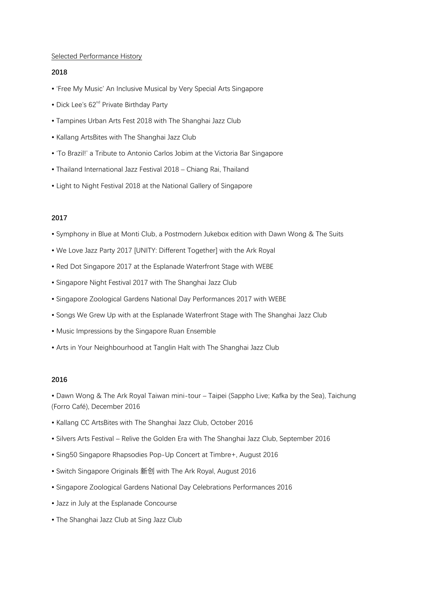## Selected Performance History

## **2018**

- 'Free My Music' An Inclusive Musical by Very Special Arts Singapore
- Dick Lee's  $62<sup>nd</sup>$  Private Birthday Party
- Tampines Urban Arts Fest 2018 with The Shanghai Jazz Club
- Kallang ArtsBites with The Shanghai Jazz Club
- 'To Brazil!' a Tribute to Antonio Carlos Jobim at the Victoria Bar Singapore
- Thailand International Jazz Festival 2018 Chiang Rai, Thailand
- Light to Night Festival 2018 at the National Gallery of Singapore

# **2017**

- Symphony in Blue at Monti Club, a Postmodern Jukebox edition with Dawn Wong & The Suits
- We Love Jazz Party 2017 [UNITY: Different Together] with the Ark Royal
- Red Dot Singapore 2017 at the Esplanade Waterfront Stage with WEBE
- Singapore Night Festival 2017 with The Shanghai Jazz Club
- Singapore Zoological Gardens National Day Performances 2017 with WEBE
- Songs We Grew Up with at the Esplanade Waterfront Stage with The Shanghai Jazz Club
- Music Impressions by the Singapore Ruan Ensemble
- Arts in Your Neighbourhood at Tanglin Halt with The Shanghai Jazz Club

# **2016**

• Dawn Wong & The Ark Royal Taiwan mini-tour – Taipei (Sappho Live; Kafka by the Sea), Taichung (Forro Café), December 2016

- Kallang CC ArtsBites with The Shanghai Jazz Club, October 2016
- Silvers Arts Festival Relive the Golden Era with The Shanghai Jazz Club, September 2016
- Sing50 Singapore Rhapsodies Pop-Up Concert at Timbre+, August 2016
- Switch Singapore Originals 新创 with The Ark Royal, August 2016
- Singapore Zoological Gardens National Day Celebrations Performances 2016
- Jazz in July at the Esplanade Concourse
- The Shanghai Jazz Club at Sing Jazz Club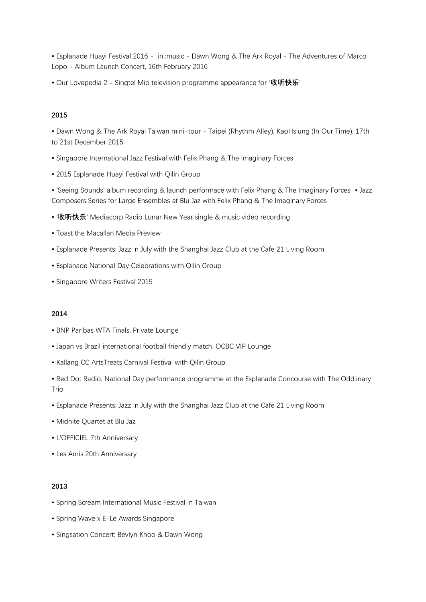• Esplanade Huayi Festival 2016 - in::music - Dawn Wong & The Ark Royal - The Adventures of Marco Lopo - Album Launch Concert, 16th February 2016

• Our Lovepedia 2 - Singtel Mio television programme appearance for '**收听快乐**'

#### **2015**

• Dawn Wong & The Ark Royal Taiwan mini-tour - Taipei (Rhythm Alley), KaoHsiung (In Our Time), 17th to 21st December 2015

- Singapore International Jazz Festival with Felix Phang & The Imaginary Forces
- 2015 Esplanade Huayi Festival with Qilin Group

• 'Seeing Sounds' album recording & launch performace with Felix Phang & The Imaginary Forces • Jazz Composers Series for Large Ensembles at Blu Jaz with Felix Phang & The Imaginary Forces

- '**收听快乐**' Mediacorp Radio Lunar New Year single & music video recording
- Toast the Macallan Media Preview
- Esplanade Presents: Jazz in July with the Shanghai Jazz Club at the Cafe 21 Living Room
- Esplanade National Day Celebrations with Qilin Group
- Singapore Writers Festival 2015

#### **2014**

- BNP Paribas WTA Finals, Private Lounge
- Japan vs Brazil international football friendly match, OCBC VIP Lounge
- Kallang CC ArtsTreats Carnival Festival with Qilin Group
- Red Dot Radio, National Day performance programme at the Esplanade Concourse with The Odd.inary Trio
- Esplanade Presents: Jazz in July with the Shanghai Jazz Club at the Cafe 21 Living Room
- Midnite Quartet at Blu Jaz
- L'OFFICIEL 7th Anniversary
- Les Amis 20th Anniversary

## **2013**

- Spring Scream International Music Festival in Taiwan
- Spring Wave x E-Le Awards Singapore
- Singsation Concert: Bevlyn Khoo & Dawn Wong